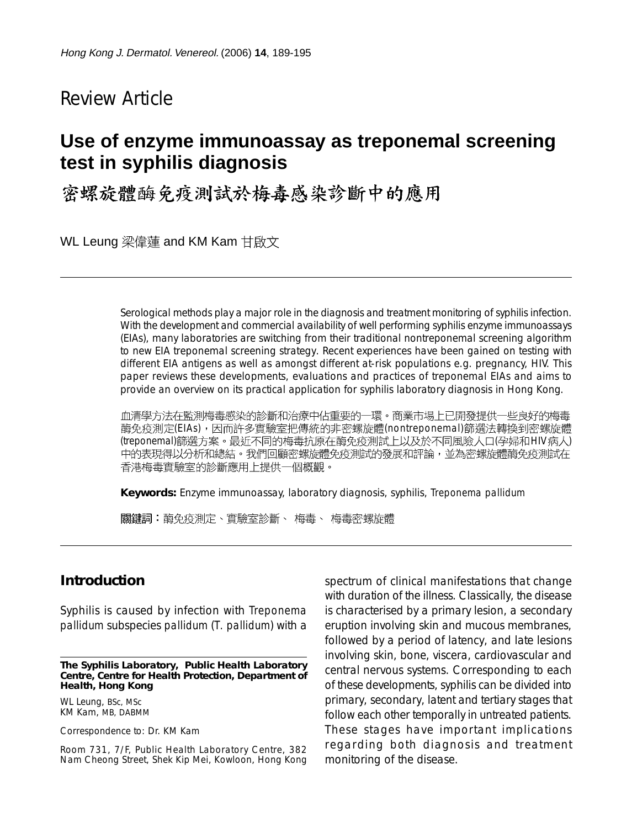Review Article

# **Use of enzyme immunoassay as treponemal screening test in syphilis diagnosis**

密螺旋體酶免疫測試於梅毒感染診斷中的應用

WL Leung 梁偉蓮 and KM Kam 甘啟文

Serological methods play a major role in the diagnosis and treatment monitoring of syphilis infection. With the development and commercial availability of well performing syphilis enzyme immunoassays (EIAs), many laboratories are switching from their traditional nontreponemal screening algorithm to new EIA treponemal screening strategy. Recent experiences have been gained on testing with different EIA antigens as well as amongst different at-risk populations e.g. pregnancy, HIV. This paper reviews these developments, evaluations and practices of treponemal EIAs and aims to provide an overview on its practical application for syphilis laboratory diagnosis in Hong Kong.

血清學方法在監測梅毒感染的診斷和治療中佔重要的一環。商業市場上已開發提供一些良好的梅毒 酶免疫測定(EIAs),因而許多實驗室把傳統的非密螺旋體(nontreponemal)篩選法轉換到密螺旋體 (treponemal)篩選方案。最近不同的梅毒抗原在酶免疫測試上以及於不同風險人口(孕婦和HIV病人) 中的表現得以分析和總結。我們回顧密螺旋體免疫測試的發展和評論,並為密螺旋體酶免疫測試在 香港梅毒實驗室的診斷應用上提供一個概觀。

**Keywords:** Enzyme immunoassay, laboratory diagnosis, syphilis, *Treponema pallidum*

關鍵詞:酶免疫測定、實驗室診斷、 梅毒、 梅毒密螺旋體

#### **Introduction**

Syphilis is caused by infection with *Treponema pallidum* subspecies *pallidum* (*T. pallidum*) with a

**The Syphilis Laboratory, Public Health Laboratory Centre, Centre for Health Protection, Department of Health, Hong Kong**

WL Leung, BSc, MSc KM Kam, MB, DABMM

Correspondence to: Dr. KM Kam

Room 731, 7/F, Public Health Laboratory Centre, 382 Nam Cheong Street, Shek Kip Mei, Kowloon, Hong Kong spectrum of clinical manifestations that change with duration of the illness. Classically, the disease is characterised by a primary lesion, a secondary eruption involving skin and mucous membranes, followed by a period of latency, and late lesions involving skin, bone, viscera, cardiovascular and central nervous systems. Corresponding to each of these developments, syphilis can be divided into primary, secondary, latent and tertiary stages that follow each other temporally in untreated patients. These stages have important implications regarding both diagnosis and treatment monitoring of the disease.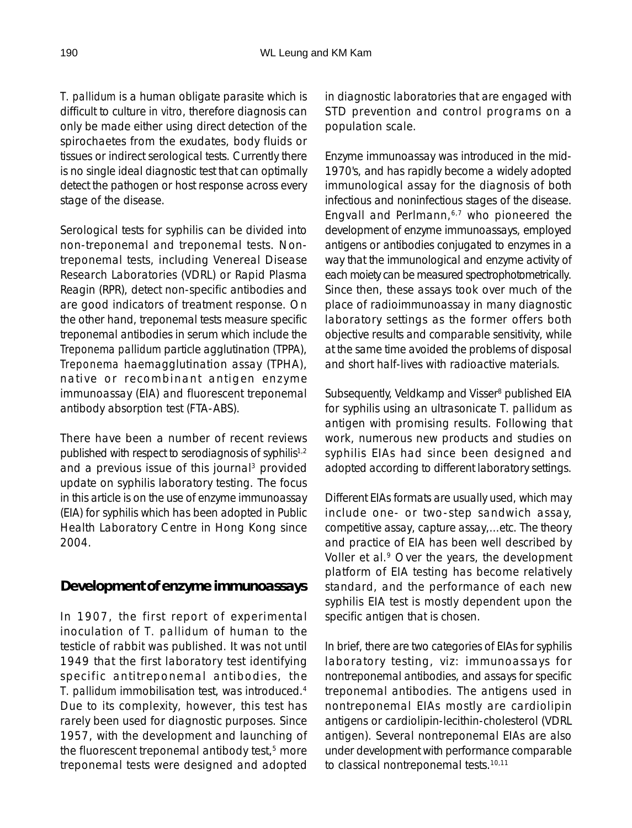*T. pallidum* is a human obligate parasite which is difficult to culture *in vitro*, therefore diagnosis can only be made either using direct detection of the spirochaetes from the exudates, body fluids or tissues or indirect serological tests. Currently there is no single ideal diagnostic test that can optimally detect the pathogen or host response across every stage of the disease.

Serological tests for syphilis can be divided into non-treponemal and treponemal tests. Nontreponemal tests, including Venereal Disease Research Laboratories (VDRL) or Rapid Plasma Reagin (RPR), detect non-specific antibodies and are good indicators of treatment response. On the other hand, treponemal tests measure specific treponemal antibodies in serum which include the *Treponema pallidum* particle agglutination (TPPA), *Treponema* haemagglutination assay (TPHA), native or recombinant antigen enzyme immunoassay (EIA) and fluorescent treponemal antibody absorption test (FTA-ABS).

There have been a number of recent reviews published with respect to serodiagnosis of syphilis<sup>1,2</sup> and a previous issue of this journal<sup>3</sup> provided update on syphilis laboratory testing. The focus in this article is on the use of enzyme immunoassay (EIA) for syphilis which has been adopted in Public Health Laboratory Centre in Hong Kong since 2004.

#### **Development of enzyme immunoassays**

In 1907, the first report of experimental inoculation of *T. pallidum* of human to the testicle of rabbit was published. It was not until 1949 that the first laboratory test identifying specific antitreponemal antibodies, the *T. pallidum* immobilisation test, was introduced.4 Due to its complexity, however, this test has rarely been used for diagnostic purposes. Since 1957, with the development and launching of the fluorescent treponemal antibody test,<sup>5</sup> more treponemal tests were designed and adopted in diagnostic laboratories that are engaged with STD prevention and control programs on a population scale.

Enzyme immunoassay was introduced in the mid-1970's, and has rapidly become a widely adopted immunological assay for the diagnosis of both infectious and noninfectious stages of the disease. Engvall and Perlmann, $6,7$  who pioneered the development of enzyme immunoassays, employed antigens or antibodies conjugated to enzymes in a way that the immunological and enzyme activity of each moiety can be measured spectrophotometrically. Since then, these assays took over much of the place of radioimmunoassay in many diagnostic laboratory settings as the former offers both objective results and comparable sensitivity, while at the same time avoided the problems of disposal and short half-lives with radioactive materials.

Subsequently, Veldkamp and Visser<sup>8</sup> published EIA for syphilis using an ultrasonicate *T. pallidum* as antigen with promising results. Following that work, numerous new products and studies on syphilis EIAs had since been designed and adopted according to different laboratory settings.

Different EIAs formats are usually used, which may include one- or two-step sandwich assay, competitive assay, capture assay,...etc. The theory and practice of EIA has been well described by Voller et al.<sup>9</sup> Over the years, the development platform of EIA testing has become relatively standard, and the performance of each new syphilis EIA test is mostly dependent upon the specific antigen that is chosen.

In brief, there are two categories of EIAs for syphilis laboratory testing, viz: immunoassays for nontreponemal antibodies, and assays for specific treponemal antibodies. The antigens used in nontreponemal EIAs mostly are cardiolipin antigens or cardiolipin-lecithin-cholesterol (VDRL antigen). Several nontreponemal EIAs are also under development with performance comparable to classical nontreponemal tests.10,11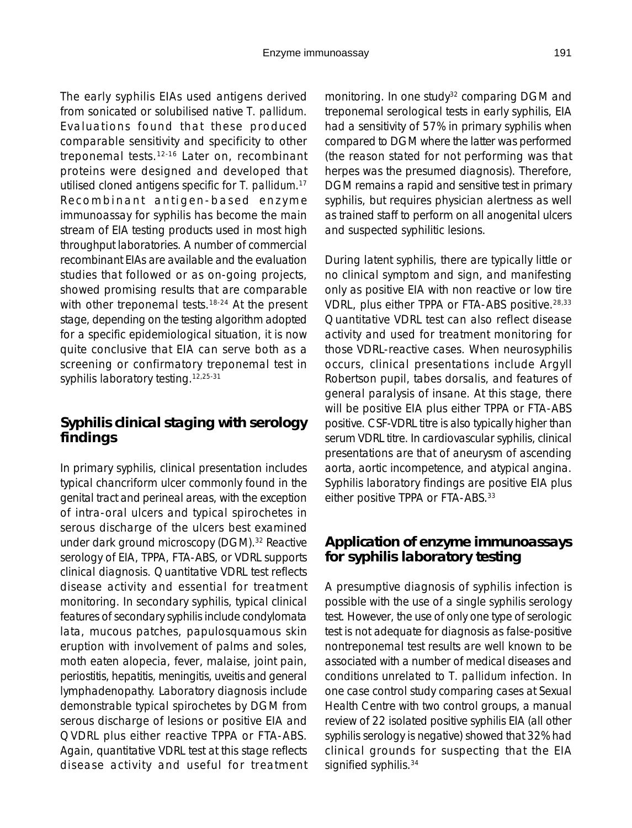The early syphilis EIAs used antigens derived from sonicated or solubilised native *T. pallidum*. Evaluations found that these produced comparable sensitivity and specificity to other treponemal tests.12-16 Later on, recombinant proteins were designed and developed that utilised cloned antigens specific for *T. pallidum*. 17 Recombinant antigen-based enzyme immunoassay for syphilis has become the main stream of EIA testing products used in most high throughput laboratories. A number of commercial recombinant EIAs are available and the evaluation studies that followed or as on-going projects, showed promising results that are comparable with other treponemal tests.<sup>18-24</sup> At the present stage, depending on the testing algorithm adopted for a specific epidemiological situation, it is now quite conclusive that EIA can serve both as a screening or confirmatory treponemal test in syphilis laboratory testing.<sup>12,25-31</sup>

## **Syphilis clinical staging with serology findings**

In primary syphilis, clinical presentation includes typical chancriform ulcer commonly found in the genital tract and perineal areas, with the exception of intra-oral ulcers and typical spirochetes in serous discharge of the ulcers best examined under dark ground microscopy (DGM).<sup>32</sup> Reactive serology of EIA, TPPA, FTA-ABS, or VDRL supports clinical diagnosis. Quantitative VDRL test reflects disease activity and essential for treatment monitoring. In secondary syphilis, typical clinical features of secondary syphilis include condylomata lata, mucous patches, papulosquamous skin eruption with involvement of palms and soles, moth eaten alopecia, fever, malaise, joint pain, periostitis, hepatitis, meningitis, uveitis and general lymphadenopathy. Laboratory diagnosis include demonstrable typical spirochetes by DGM from serous discharge of lesions or positive EIA and QVDRL plus either reactive TPPA or FTA-ABS. Again, quantitative VDRL test at this stage reflects disease activity and useful for treatment monitoring. In one study<sup>32</sup> comparing DGM and treponemal serological tests in early syphilis, EIA had a sensitivity of 57% in primary syphilis when compared to DGM where the latter was performed (the reason stated for not performing was that herpes was the presumed diagnosis). Therefore, DGM remains a rapid and sensitive test in primary syphilis, but requires physician alertness as well as trained staff to perform on all anogenital ulcers and suspected syphilitic lesions.

During latent syphilis, there are typically little or no clinical symptom and sign, and manifesting only as positive EIA with non reactive or low tire VDRL, plus either TPPA or FTA-ABS positive.28,33 Quantitative VDRL test can also reflect disease activity and used for treatment monitoring for those VDRL-reactive cases. When neurosyphilis occurs, clinical presentations include Argyll Robertson pupil, tabes dorsalis, and features of general paralysis of insane. At this stage, there will be positive EIA plus either TPPA or FTA-ABS positive. CSF-VDRL titre is also typically higher than serum VDRL titre. In cardiovascular syphilis, clinical presentations are that of aneurysm of ascending aorta, aortic incompetence, and atypical angina. Syphilis laboratory findings are positive EIA plus either positive TPPA or FTA-ABS.<sup>33</sup>

#### **Application of enzyme immunoassays for syphilis laboratory testing**

A presumptive diagnosis of syphilis infection is possible with the use of a single syphilis serology test. However, the use of only one type of serologic test is not adequate for diagnosis as false-positive nontreponemal test results are well known to be associated with a number of medical diseases and conditions unrelated to *T. pallidum* infection. In one case control study comparing cases at Sexual Health Centre with two control groups, a manual review of 22 isolated positive syphilis EIA (all other syphilis serology is negative) showed that 32% had clinical grounds for suspecting that the EIA signified syphilis.<sup>34</sup>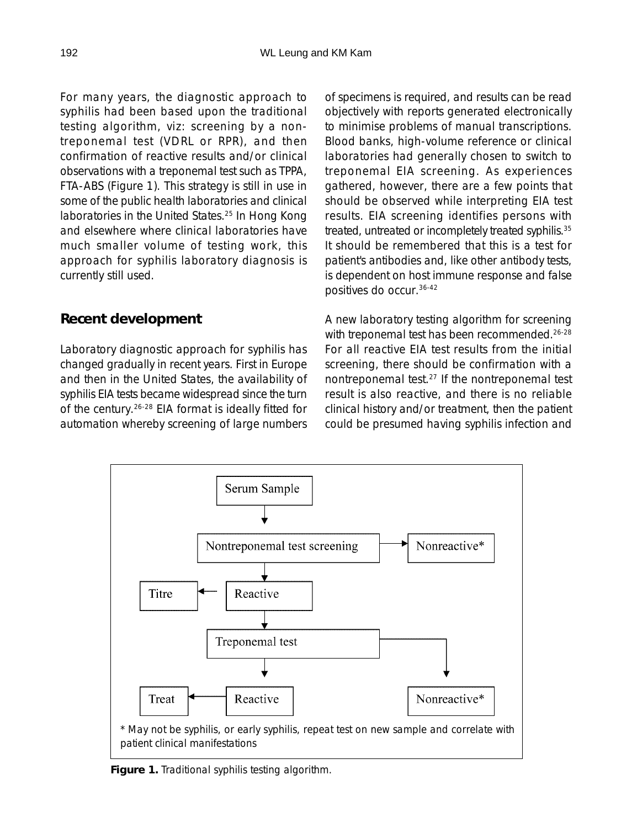For many years, the diagnostic approach to syphilis had been based upon the traditional testing algorithm, viz: screening by a nontreponemal test (VDRL or RPR), and then confirmation of reactive results and/or clinical observations with a treponemal test such as TPPA, FTA-ABS (Figure 1). This strategy is still in use in some of the public health laboratories and clinical laboratories in the United States.25 In Hong Kong and elsewhere where clinical laboratories have much smaller volume of testing work, this approach for syphilis laboratory diagnosis is currently still used.

# **Recent development**

Laboratory diagnostic approach for syphilis has changed gradually in recent years. First in Europe and then in the United States, the availability of syphilis EIA tests became widespread since the turn of the century.26-28 EIA format is ideally fitted for automation whereby screening of large numbers of specimens is required, and results can be read objectively with reports generated electronically to minimise problems of manual transcriptions. Blood banks, high-volume reference or clinical laboratories had generally chosen to switch to treponemal EIA screening. As experiences gathered, however, there are a few points that should be observed while interpreting EIA test results. EIA screening identifies persons with treated, untreated or incompletely treated syphilis.<sup>35</sup> It should be remembered that this is a test for patient's antibodies and, like other antibody tests, is dependent on host immune response and false positives do occur.36-42

A new laboratory testing algorithm for screening with treponemal test has been recommended.<sup>26-28</sup> For all reactive EIA test results from the initial screening, there should be confirmation with a nontreponemal test.27 If the nontreponemal test result is also reactive, and there is no reliable clinical history and/or treatment, then the patient could be presumed having syphilis infection and



**Figure 1.** Traditional syphilis testing algorithm.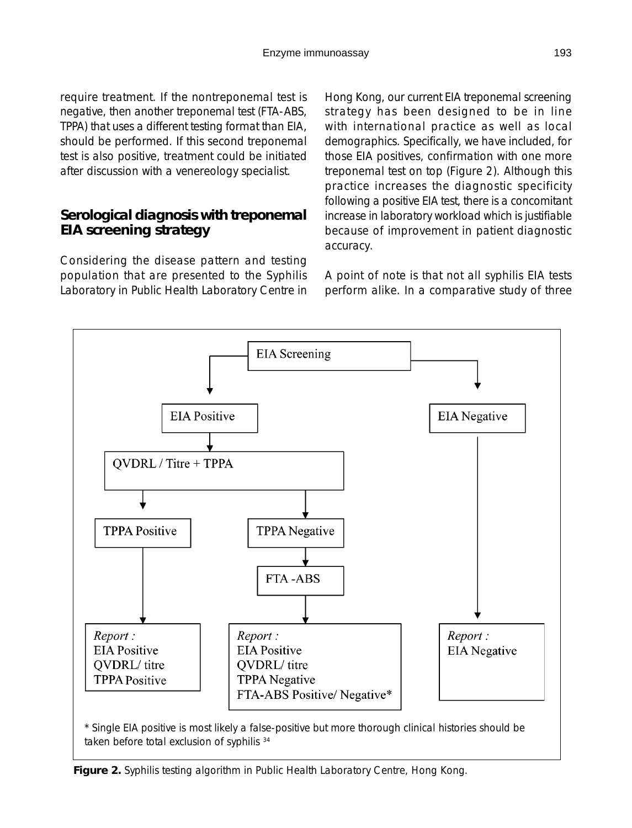require treatment. If the nontreponemal test is negative, then another treponemal test (FTA-ABS, TPPA) that uses a different testing format than EIA, should be performed. If this second treponemal test is also positive, treatment could be initiated after discussion with a venereology specialist.

## **Serological diagnosis with treponemal EIA screening strategy**

Considering the disease pattern and testing population that are presented to the Syphilis Laboratory in Public Health Laboratory Centre in Hong Kong, our current EIA treponemal screening strategy has been designed to be in line with international practice as well as local demographics. Specifically, we have included, for those EIA positives, confirmation with one more treponemal test on top (Figure 2). Although this practice increases the diagnostic specificity following a positive EIA test, there is a concomitant increase in laboratory workload which is justifiable because of improvement in patient diagnostic accuracy.

A point of note is that not all syphilis EIA tests perform alike. In a comparative study of three



**Figure 2.** Syphilis testing algorithm in Public Health Laboratory Centre, Hong Kong.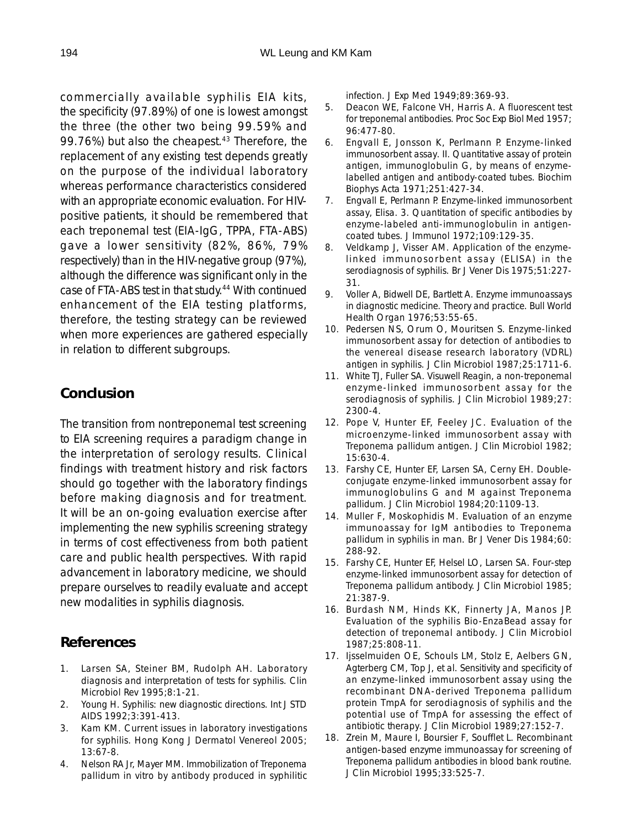commercially available syphilis EIA kits, the specificity (97.89%) of one is lowest amongst the three (the other two being 99.59% and 99.76%) but also the cheapest.<sup>43</sup> Therefore, the replacement of any existing test depends greatly on the purpose of the individual laboratory whereas performance characteristics considered with an appropriate economic evaluation. For HIVpositive patients, it should be remembered that each treponemal test (EIA-IgG, TPPA, FTA-ABS) gave a lower sensitivity (82%, 86%, 79% respectively) than in the HIV-negative group (97%), although the difference was significant only in the case of FTA-ABS test in that study.<sup>44</sup> With continued enhancement of the EIA testing platforms, therefore, the testing strategy can be reviewed when more experiences are gathered especially in relation to different subgroups.

# **Conclusion**

The transition from nontreponemal test screening to EIA screening requires a paradigm change in the interpretation of serology results. Clinical findings with treatment history and risk factors should go together with the laboratory findings before making diagnosis and for treatment. It will be an on-going evaluation exercise after implementing the new syphilis screening strategy in terms of cost effectiveness from both patient care and public health perspectives. With rapid advancement in laboratory medicine, we should prepare ourselves to readily evaluate and accept new modalities in syphilis diagnosis.

# **References**

- 1. Larsen SA, Steiner BM, Rudolph AH. Laboratory diagnosis and interpretation of tests for syphilis. Clin Microbiol Rev 1995;8:1-21.
- 2. Young H. Syphilis: new diagnostic directions. Int J STD AIDS 1992;3:391-413.
- 3. Kam KM. Current issues in laboratory investigations for syphilis. Hong Kong J Dermatol Venereol 2005; 13:67-8.
- 4. Nelson RA Jr, Mayer MM. Immobilization of Treponema pallidum in vitro by antibody produced in syphilitic

infection. J Exp Med 1949;89:369-93.

- 5. Deacon WE, Falcone VH, Harris A. A fluorescent test for treponemal antibodies. Proc Soc Exp Biol Med 1957; 96:477-80.
- 6. Engvall E, Jonsson K, Perlmann P. Enzyme-linked immunosorbent assay. II. Quantitative assay of protein antigen, immunoglobulin G, by means of enzymelabelled antigen and antibody-coated tubes. Biochim Biophys Acta 1971;251:427-34.
- 7. Engvall E, Perlmann P. Enzyme-linked immunosorbent assay, Elisa. 3. Quantitation of specific antibodies by enzyme-labeled anti-immunoglobulin in antigencoated tubes. J Immunol 1972;109:129-35.
- 8. Veldkamp J, Visser AM. Application of the enzymelinked immunosorbent assay (ELISA) in the serodiagnosis of syphilis. Br J Vener Dis 1975;51:227- 31.
- 9. Voller A, Bidwell DE, Bartlett A. Enzyme immunoassays in diagnostic medicine. Theory and practice. Bull World Health Organ 1976;53:55-65.
- 10. Pedersen NS, Orum O, Mouritsen S. Enzyme-linked immunosorbent assay for detection of antibodies to the venereal disease research laboratory (VDRL) antigen in syphilis. J Clin Microbiol 1987;25:1711-6.
- 11. White TJ, Fuller SA. Visuwell Reagin, a non-treponemal enzyme-linked immunosorbent assay for the serodiagnosis of syphilis. J Clin Microbiol 1989;27: 2300-4.
- 12. Pope V, Hunter EF, Feeley JC. Evaluation of the microenzyme-linked immunosorbent assay with Treponema pallidum antigen. J Clin Microbiol 1982; 15:630-4.
- 13. Farshy CE, Hunter EF, Larsen SA, Cerny EH. Doubleconjugate enzyme-linked immunosorbent assay for immunoglobulins G and M against Treponema pallidum. J Clin Microbiol 1984;20:1109-13.
- 14. Muller F, Moskophidis M. Evaluation of an enzyme immunoassay for IgM antibodies to Treponema pallidum in syphilis in man. Br J Vener Dis 1984;60: 288-92.
- 15. Farshy CE, Hunter EF, Helsel LO, Larsen SA. Four-step enzyme-linked immunosorbent assay for detection of Treponema pallidum antibody. J Clin Microbiol 1985; 21:387-9.
- 16. Burdash NM, Hinds KK, Finnerty JA, Manos JP. Evaluation of the syphilis Bio-EnzaBead assay for detection of treponemal antibody. J Clin Microbiol 1987;25:808-11.
- 17. Ijsselmuiden OE, Schouls LM, Stolz E, Aelbers GN, Agterberg CM, Top J, et al. Sensitivity and specificity of an enzyme-linked immunosorbent assay using the recombinant DNA-derived Treponema pallidum protein TmpA for serodiagnosis of syphilis and the potential use of TmpA for assessing the effect of antibiotic therapy. J Clin Microbiol 1989;27:152-7.
- 18. Zrein M, Maure I, Boursier F, Soufflet L. Recombinant antigen-based enzyme immunoassay for screening of Treponema pallidum antibodies in blood bank routine. J Clin Microbiol 1995;33:525-7.